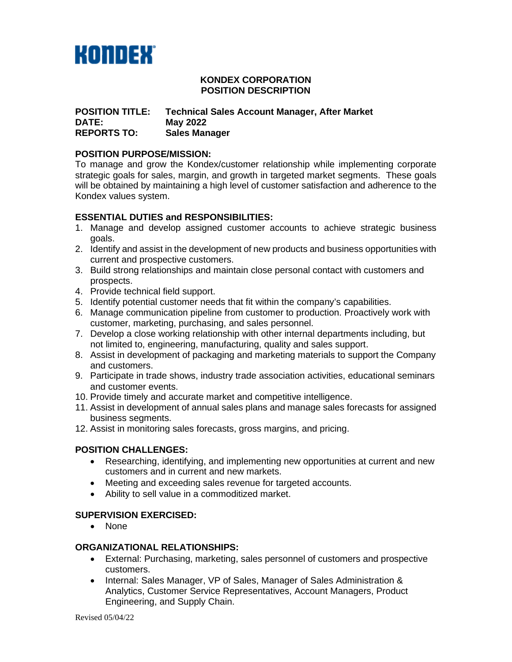

#### **KONDEX CORPORATION POSITION DESCRIPTION**

### **POSITION TITLE: Technical Sales Account Manager, After Market DATE: May 2022 Sales Manager**

### **POSITION PURPOSE/MISSION:**

To manage and grow the Kondex/customer relationship while implementing corporate strategic goals for sales, margin, and growth in targeted market segments. These goals will be obtained by maintaining a high level of customer satisfaction and adherence to the Kondex values system.

# **ESSENTIAL DUTIES and RESPONSIBILITIES:**

- 1. Manage and develop assigned customer accounts to achieve strategic business goals.
- 2. Identify and assist in the development of new products and business opportunities with current and prospective customers.
- 3. Build strong relationships and maintain close personal contact with customers and prospects.
- 4. Provide technical field support.
- 5. Identify potential customer needs that fit within the company's capabilities.
- 6. Manage communication pipeline from customer to production. Proactively work with customer, marketing, purchasing, and sales personnel.
- 7. Develop a close working relationship with other internal departments including, but not limited to, engineering, manufacturing, quality and sales support.
- 8. Assist in development of packaging and marketing materials to support the Company and customers.
- 9. Participate in trade shows, industry trade association activities, educational seminars and customer events.
- 10. Provide timely and accurate market and competitive intelligence.
- 11. Assist in development of annual sales plans and manage sales forecasts for assigned business segments.
- 12. Assist in monitoring sales forecasts, gross margins, and pricing.

# **POSITION CHALLENGES:**

- Researching, identifying, and implementing new opportunities at current and new customers and in current and new markets.
- Meeting and exceeding sales revenue for targeted accounts.
- Ability to sell value in a commoditized market.

# **SUPERVISION EXERCISED:**

• None

#### **ORGANIZATIONAL RELATIONSHIPS:**

- External: Purchasing, marketing, sales personnel of customers and prospective customers.
- Internal: Sales Manager, VP of Sales, Manager of Sales Administration & Analytics, Customer Service Representatives, Account Managers, Product Engineering, and Supply Chain.